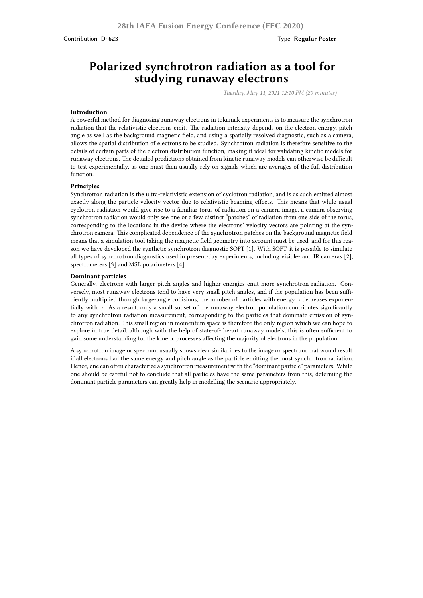# **Polarized synchrotron radiation as a tool for studying runaway electrons**

*Tuesday, May 11, 2021 12:10 PM (20 minutes)*

## **Introduction**

A powerful method for diagnosing runaway electrons in tokamak experiments is to measure the synchrotron radiation that the relativistic electrons emit. The radiation intensity depends on the electron energy, pitch angle as well as the background magnetic field, and using a spatially resolved diagnostic, such as a camera, allows the spatial distribution of electrons to be studied. Synchrotron radiation is therefore sensitive to the details of certain parts of the electron distribution function, making it ideal for validating kinetic models for runaway electrons. The detailed predictions obtained from kinetic runaway models can otherwise be difficult to test experimentally, as one must then usually rely on signals which are averages of the full distribution function.

#### **Principles**

Synchrotron radiation is the ultra-relativistic extension of cyclotron radiation, and is as such emitted almost exactly along the particle velocity vector due to relativistic beaming effects. This means that while usual cyclotron radiation would give rise to a familiar torus of radiation on a camera image, a camera observing synchrotron radiation would only see one or a few distinct "patches" of radiation from one side of the torus, corresponding to the locations in the device where the electrons' velocity vectors are pointing at the synchrotron camera. This complicated dependence of the synchrotron patches on the background magnetic field means that a simulation tool taking the magnetic field geometry into account must be used, and for this reason we have developed the synthetic synchrotron diagnostic SOFT [1]. With SOFT, it is possible to simulate all types of synchrotron diagnostics used in present-day experiments, including visible- and IR cameras [2], spectrometers [3] and MSE polarimeters [4].

#### **Dominant particles**

Generally, electrons with larger pitch angles and higher energies emit more synchrotron radiation. Conversely, most runaway electrons tend to have very small pitch angles, and if the population has been sufficiently multiplied through large-angle collisions, the number of particles with energy *γ* decreases exponentially with *γ*. As a result, only a small subset of the runaway electron population contributes significantly to any synchrotron radiation measurement, corresponding to the particles that dominate emission of synchrotron radiation. This small region in momentum space is therefore the only region which we can hope to explore in true detail, although with the help of state-of-the-art runaway models, this is often sufficient to gain some understanding for the kinetic processes affecting the majority of electrons in the population.

A synchrotron image or spectrum usually shows clear similarities to the image or spectrum that would result if all electrons had the same energy and pitch angle as the particle emitting the most synchrotron radiation. Hence, one can often characterize a synchrotron measurement with the "dominant particle" parameters. While one should be careful not to conclude that all particles have the same parameters from this, determing the dominant particle parameters can greatly help in modelling the scenario appropriately.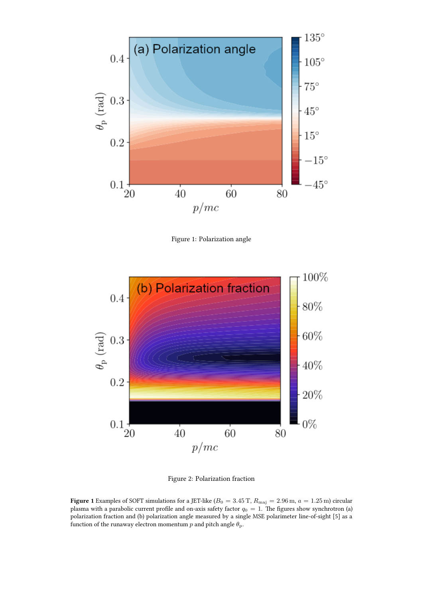

Figure 1: Polarization angle



Figure 2: Polarization fraction

**Figure 1** Examples of SOFT simulations for a JET-like ( $B_0 = 3.45$  T,  $R_{\text{maj}} = 2.96$  m,  $a = 1.25$  m) circular plasma with a parabolic current profile and on-axis safety factor  $q_0 = 1$ . The figures show synchrotron (a) polarization fraction and (b) polarization angle measured by a single MSE polarimeter line-of-sight [5] as a function of the runaway electron momentum  $p$  and pitch angle  $\theta$ <sub>p</sub>.